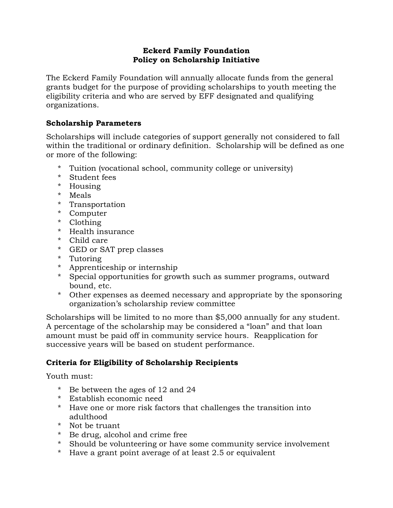### **Eckerd Family Foundation Policy on Scholarship Initiative**

The Eckerd Family Foundation will annually allocate funds from the general grants budget for the purpose of providing scholarships to youth meeting the eligibility criteria and who are served by EFF designated and qualifying organizations.

### **Scholarship Parameters**

Scholarships will include categories of support generally not considered to fall within the traditional or ordinary definition. Scholarship will be defined as one or more of the following:

- \* Tuition (vocational school, community college or university)
- \* Student fees
- \* Housing
- \* Meals
- \* Transportation
- \* Computer
- \* Clothing
- \* Health insurance
- \* Child care
- \* GED or SAT prep classes
- \* Tutoring
- \* Apprenticeship or internship
- \* Special opportunities for growth such as summer programs, outward bound, etc.
- \* Other expenses as deemed necessary and appropriate by the sponsoring organization's scholarship review committee

Scholarships will be limited to no more than \$5,000 annually for any student. A percentage of the scholarship may be considered a "loan" and that loan amount must be paid off in community service hours. Reapplication for successive years will be based on student performance.

# **Criteria for Eligibility of Scholarship Recipients**

Youth must:

- \* Be between the ages of 12 and 24
- \* Establish economic need
- \* Have one or more risk factors that challenges the transition into adulthood
- \* Not be truant
- \* Be drug, alcohol and crime free
- \* Should be volunteering or have some community service involvement
- \* Have a grant point average of at least 2.5 or equivalent